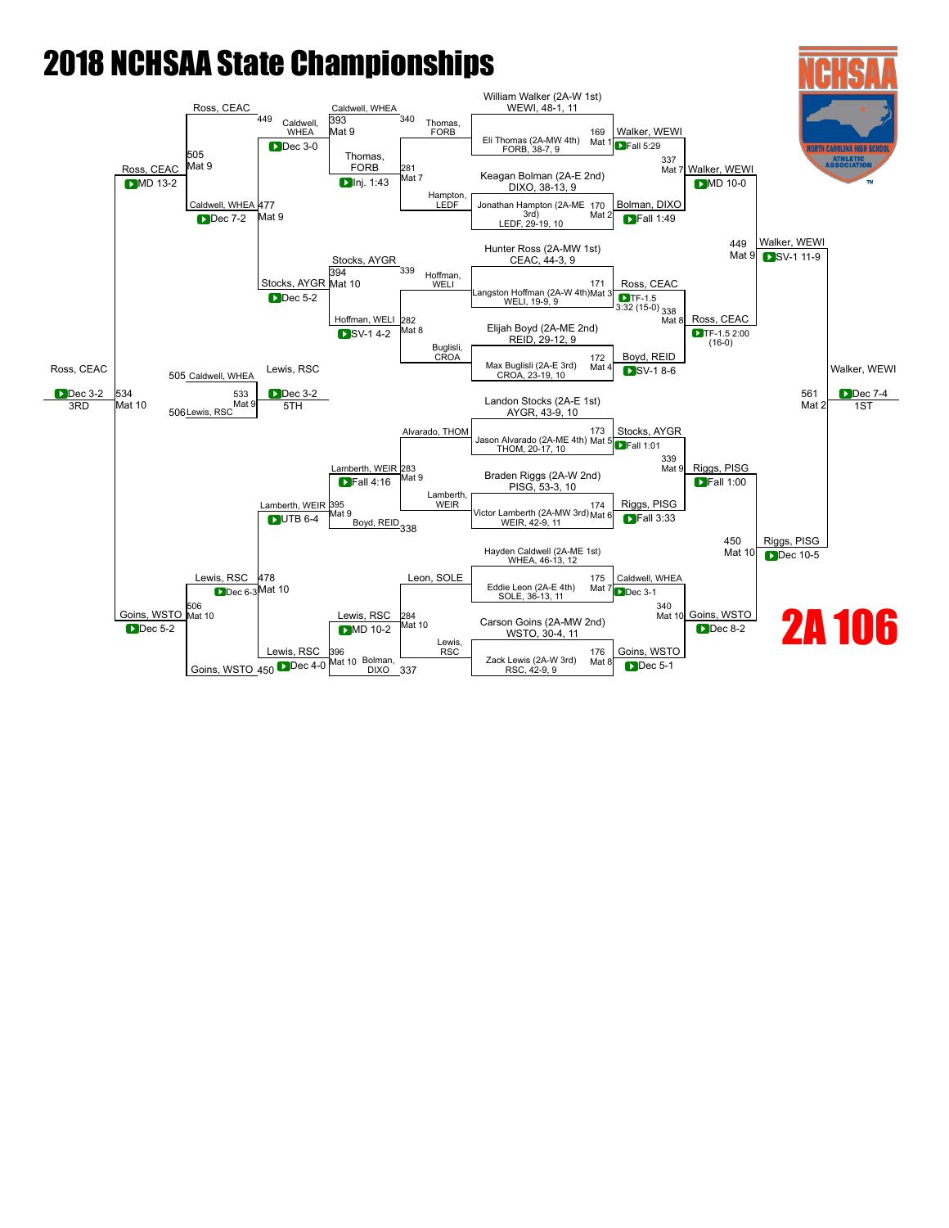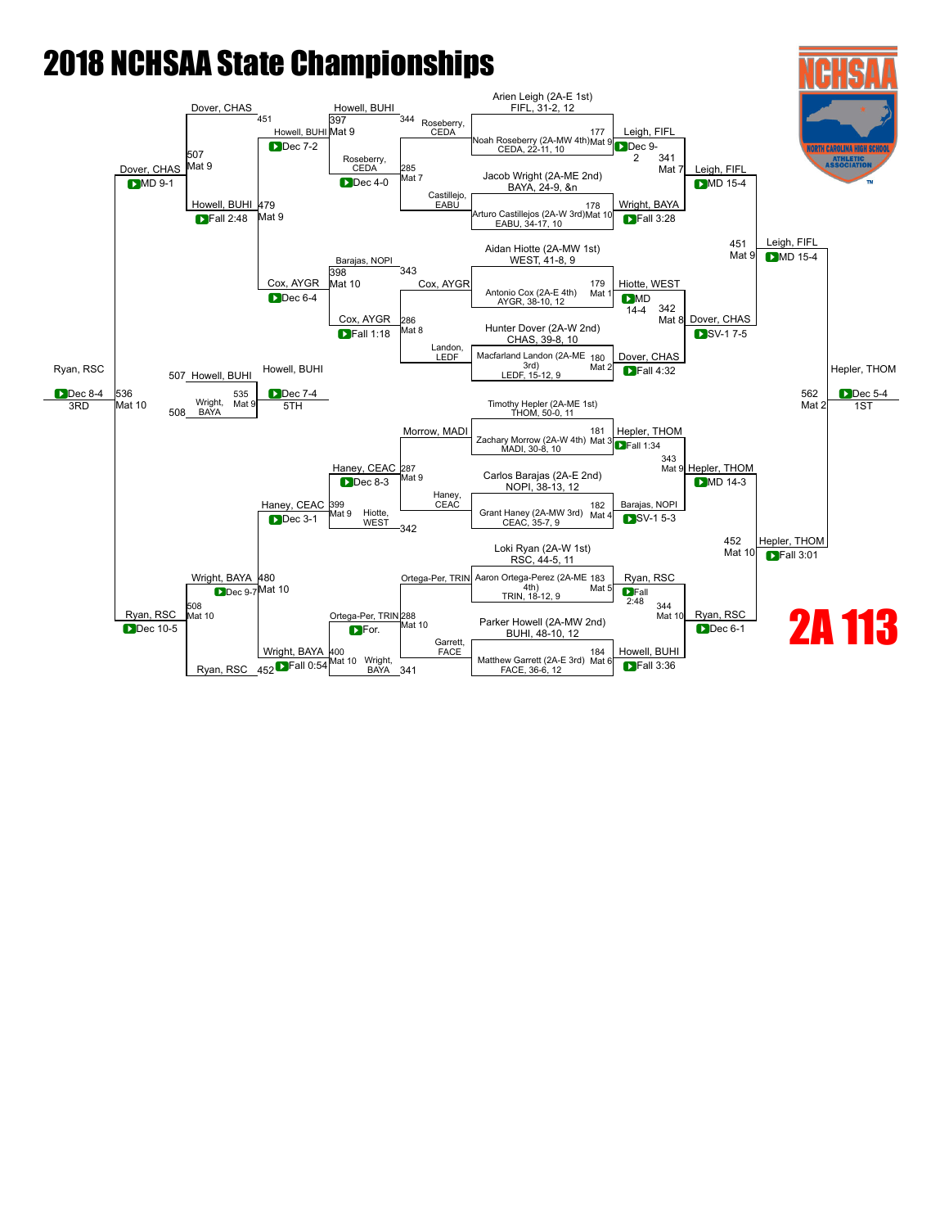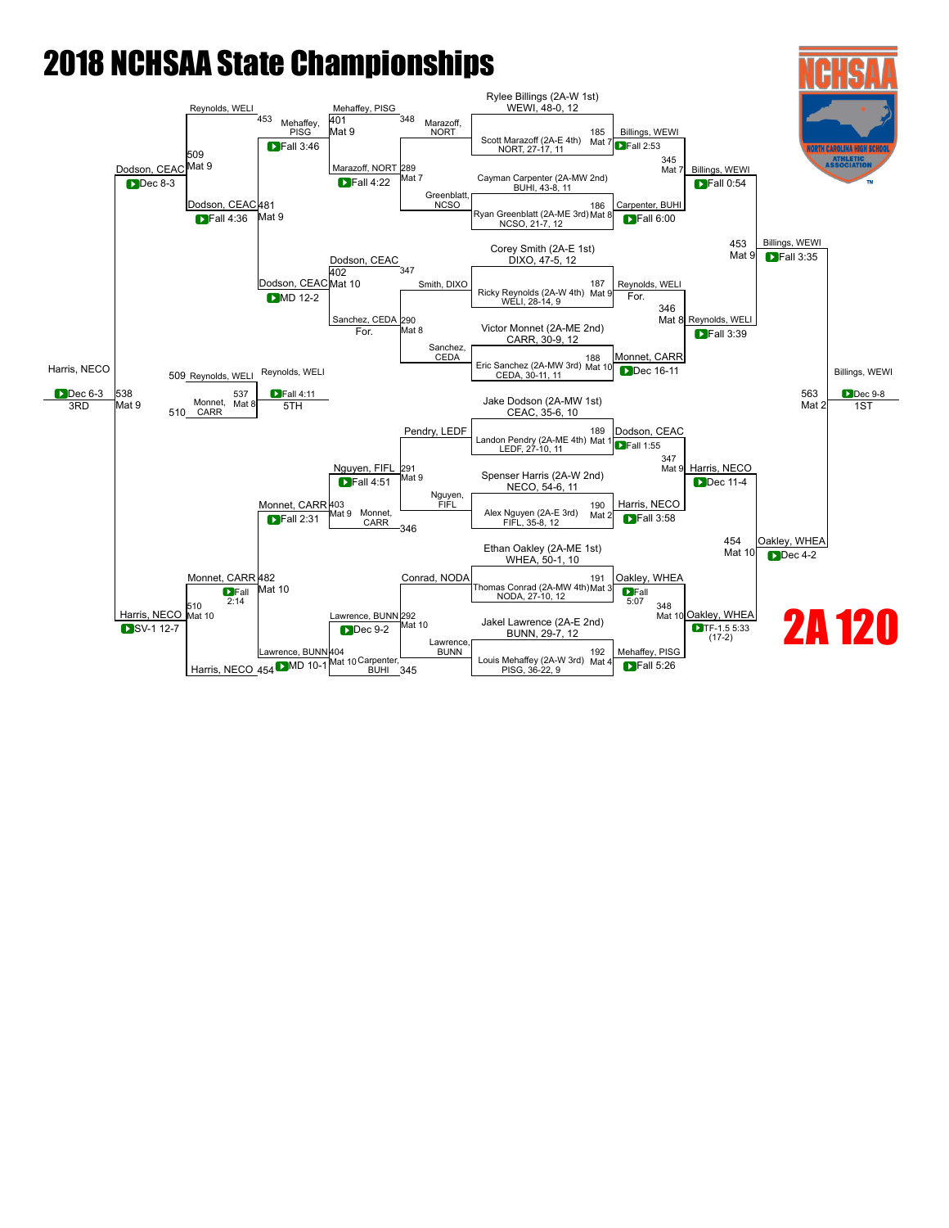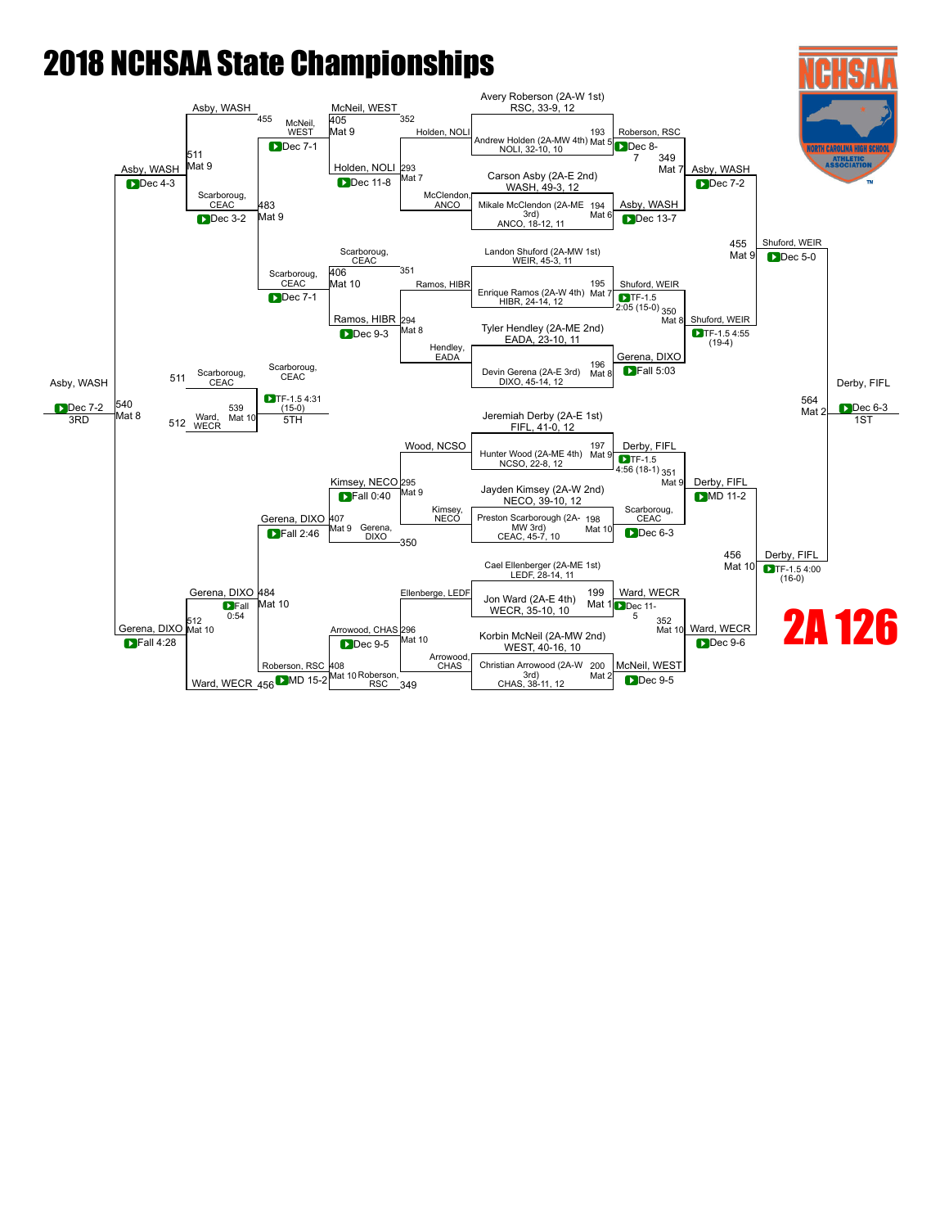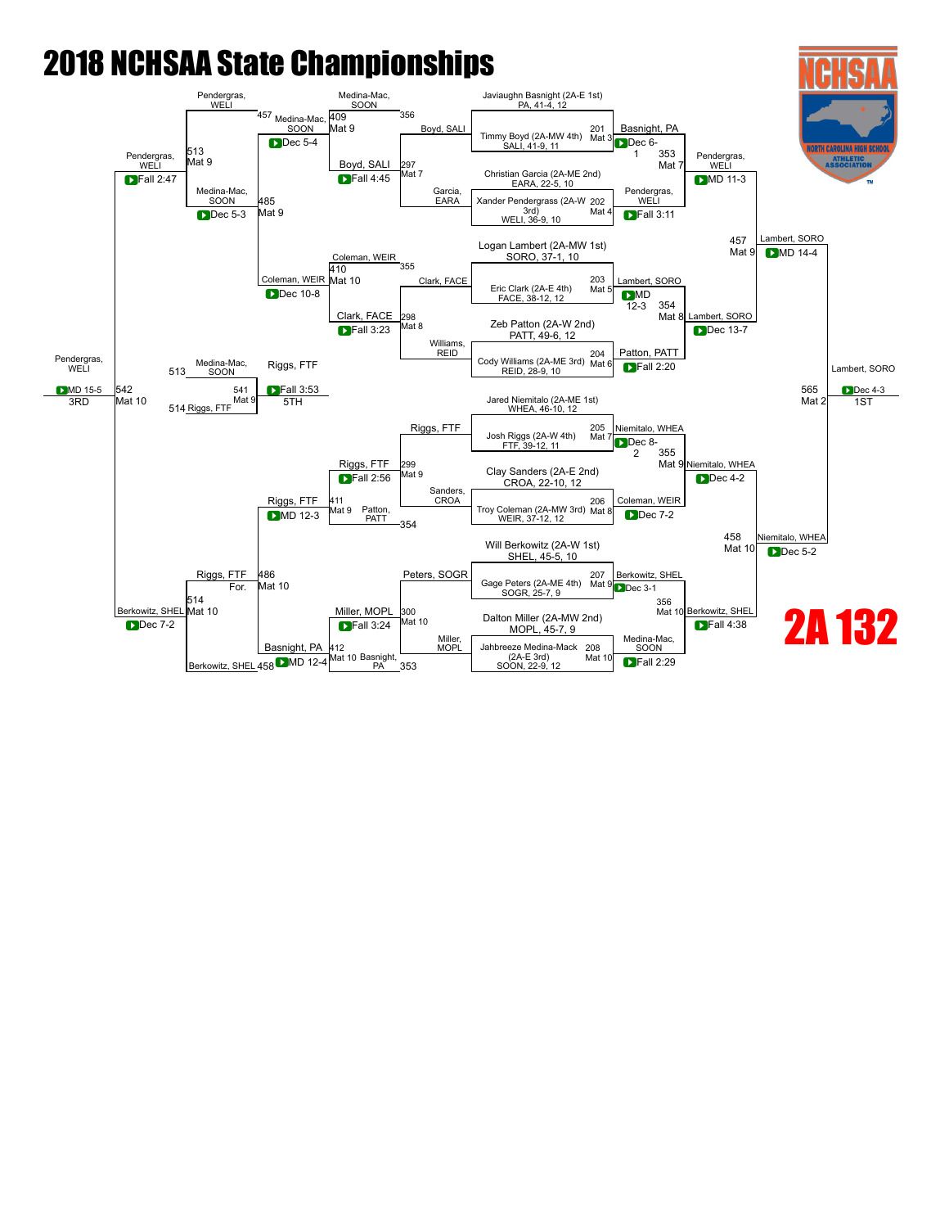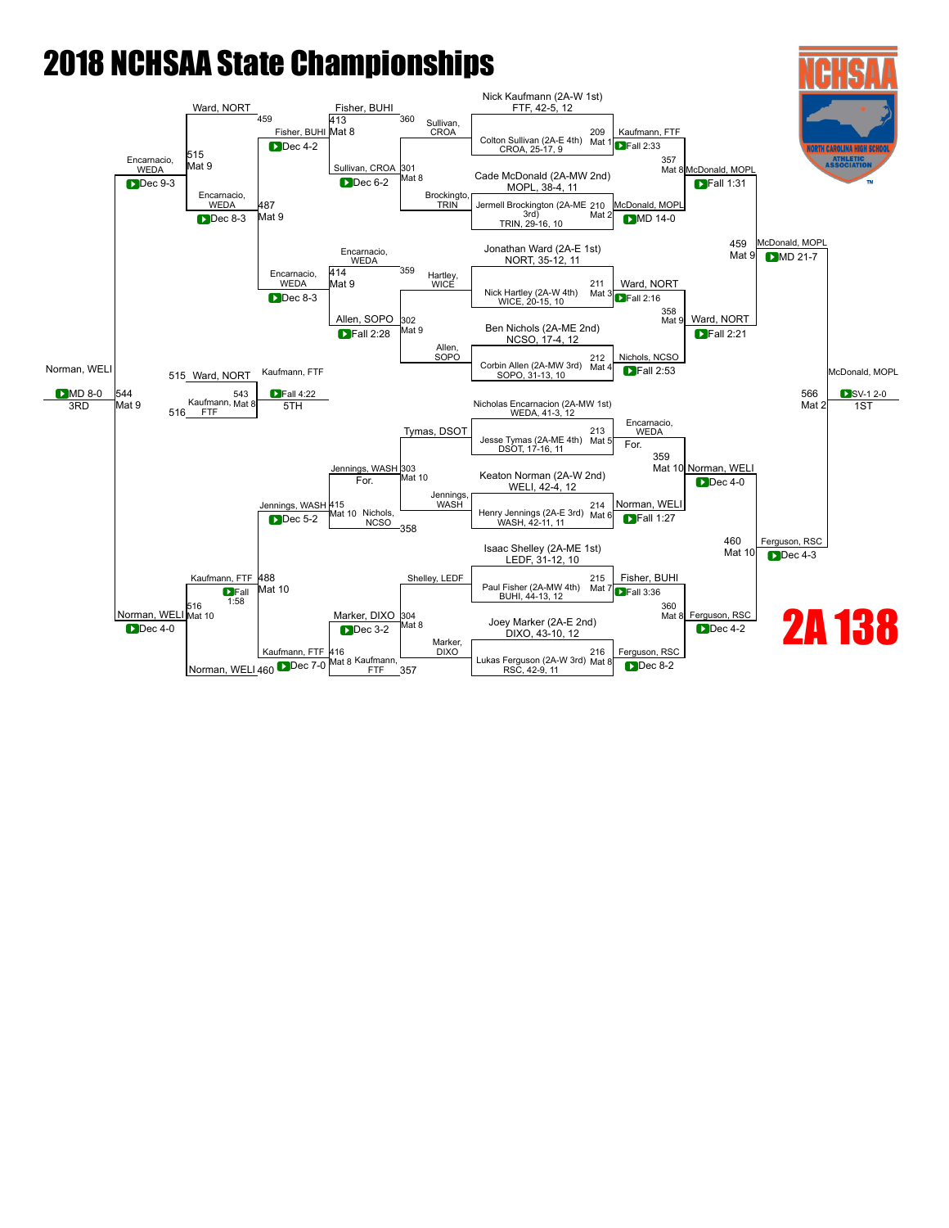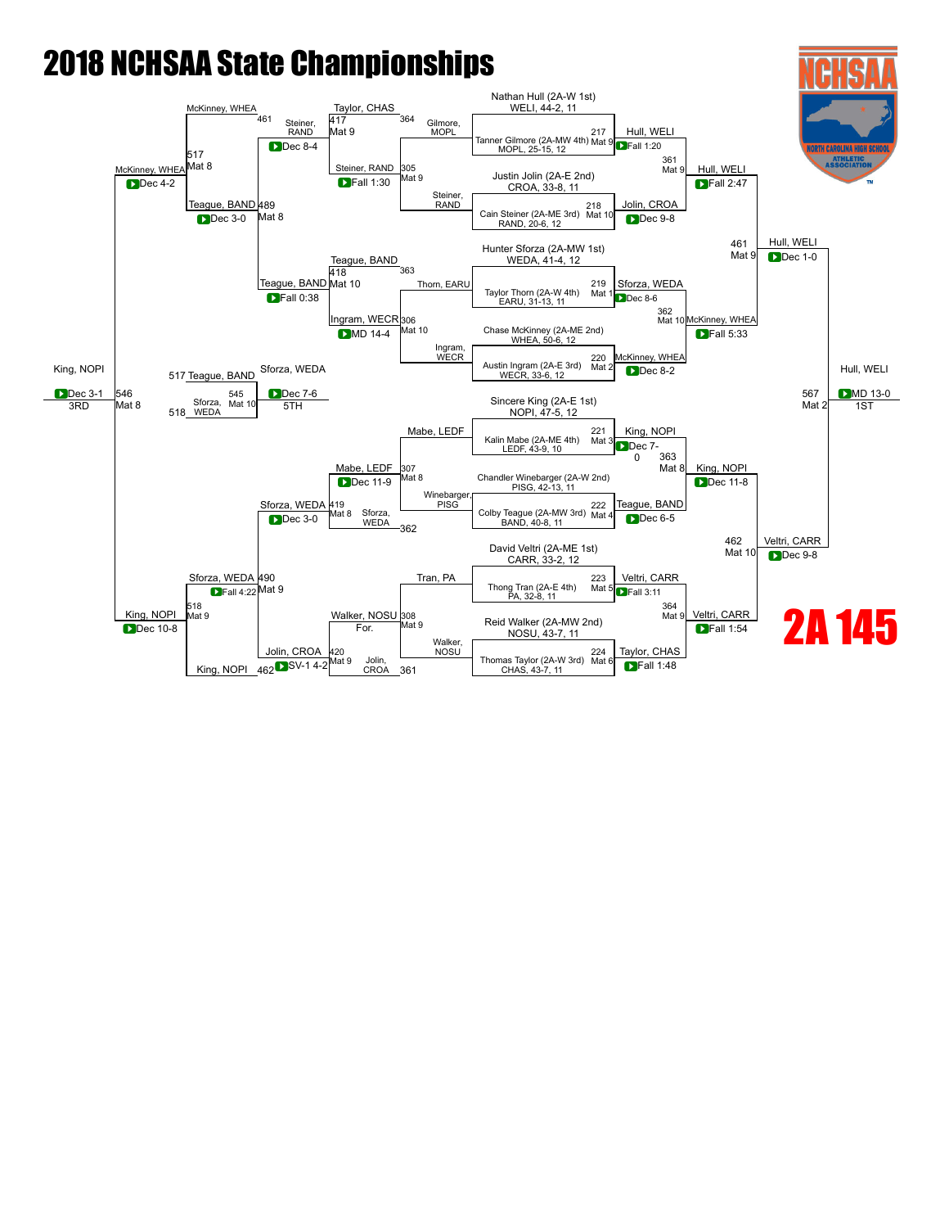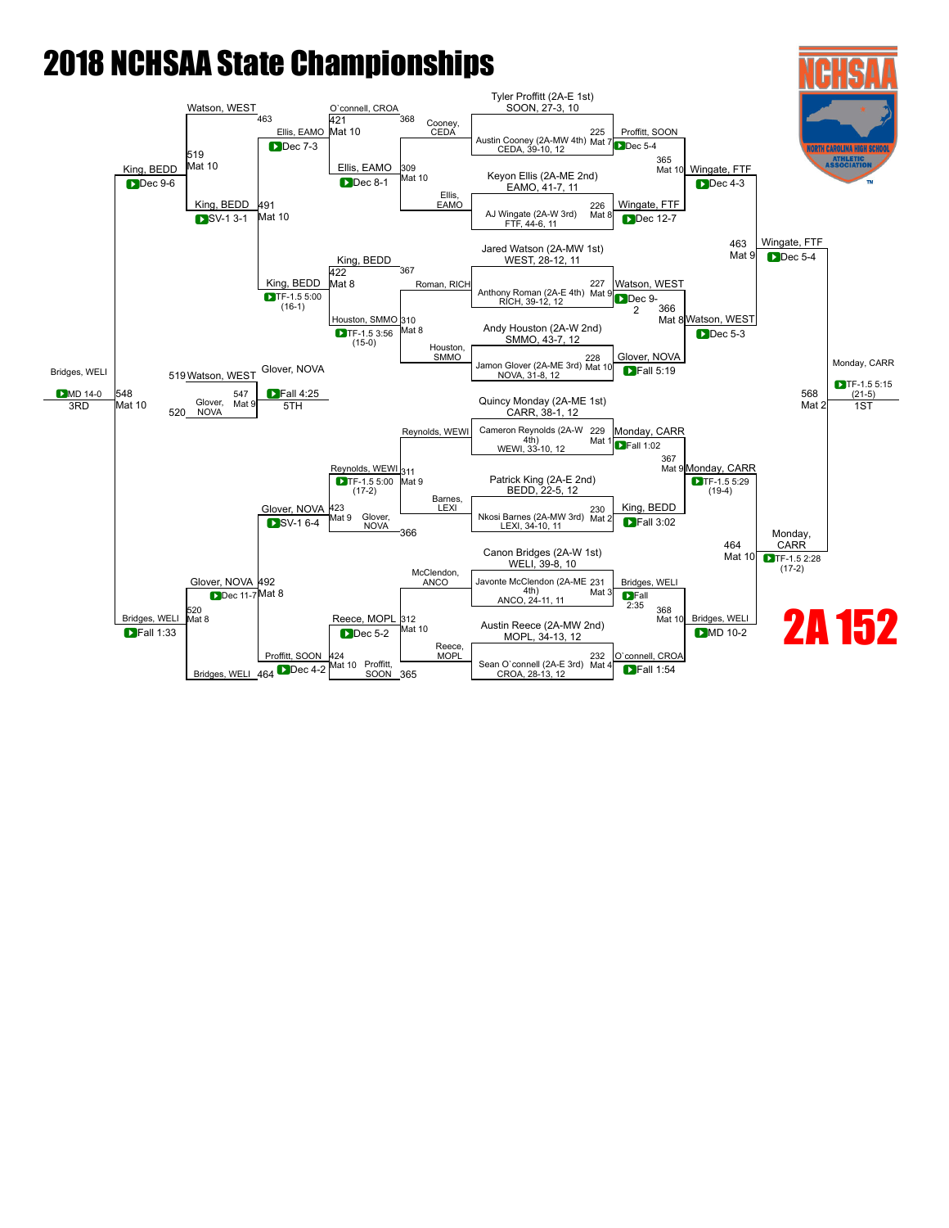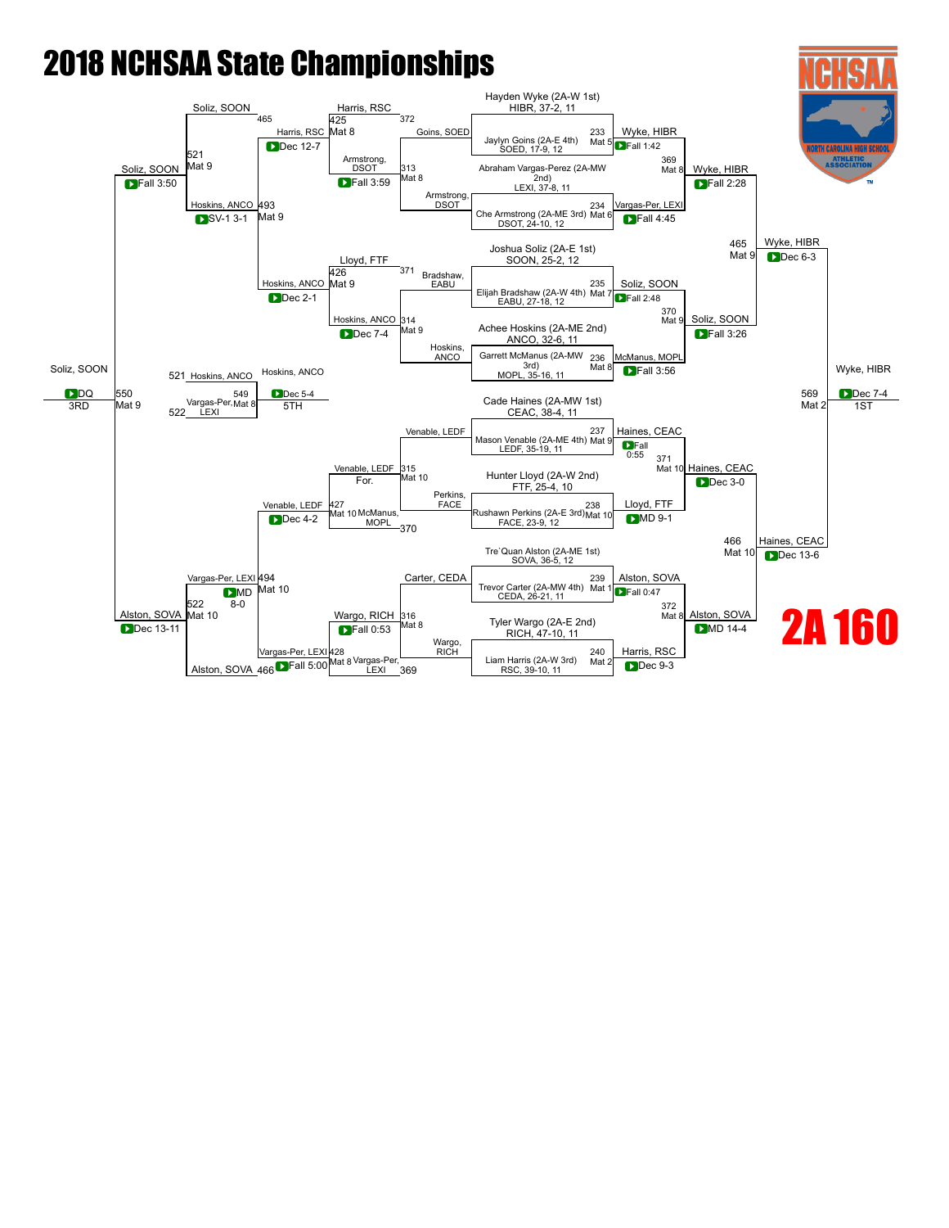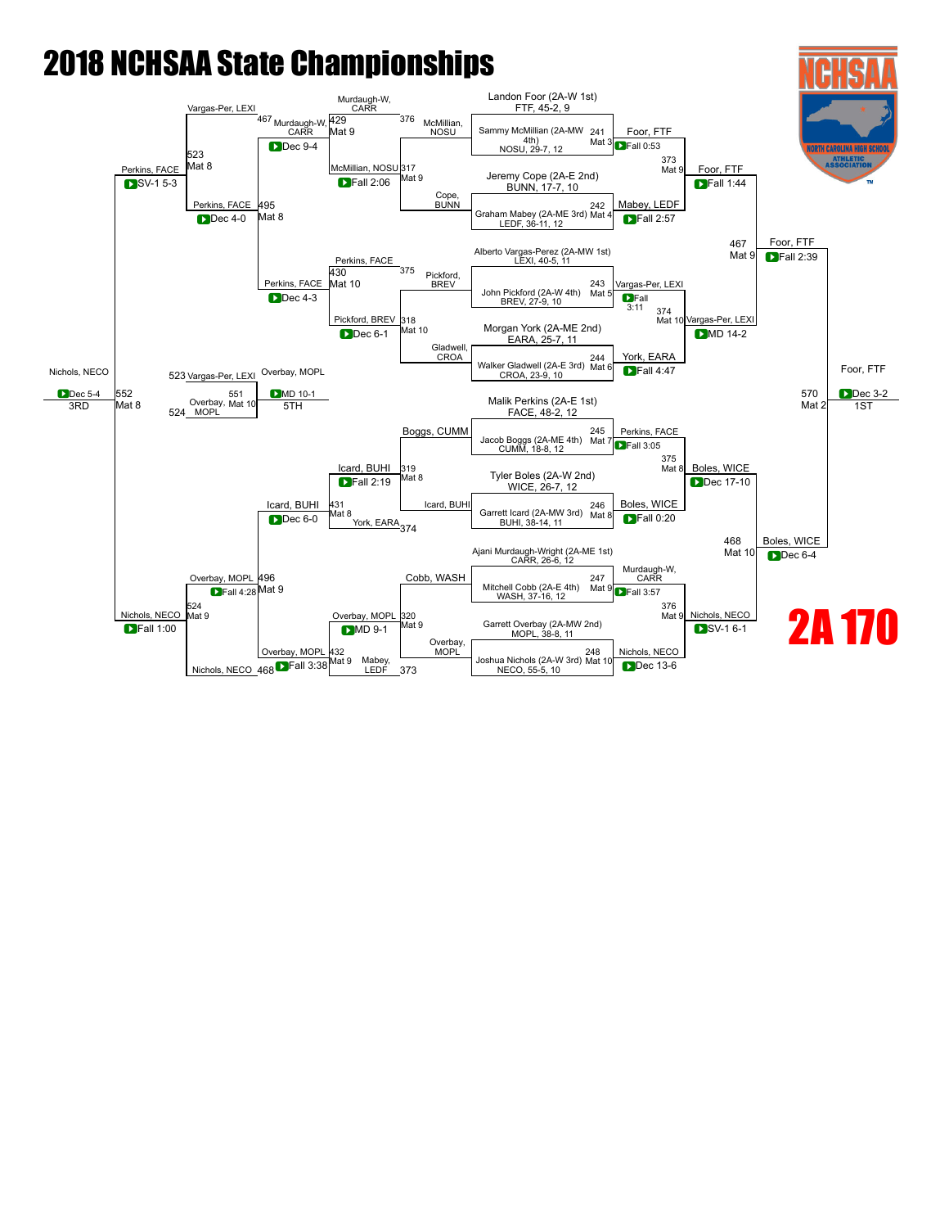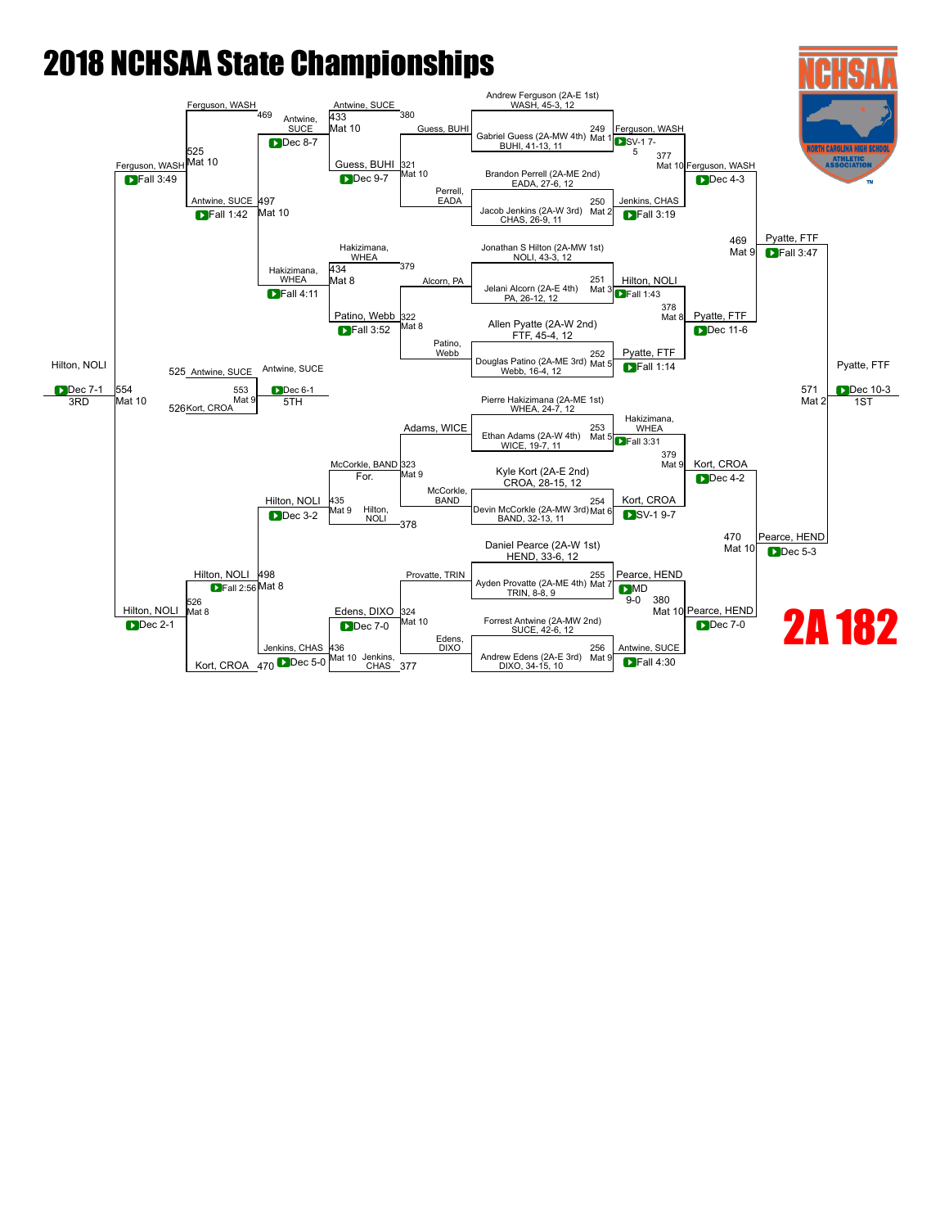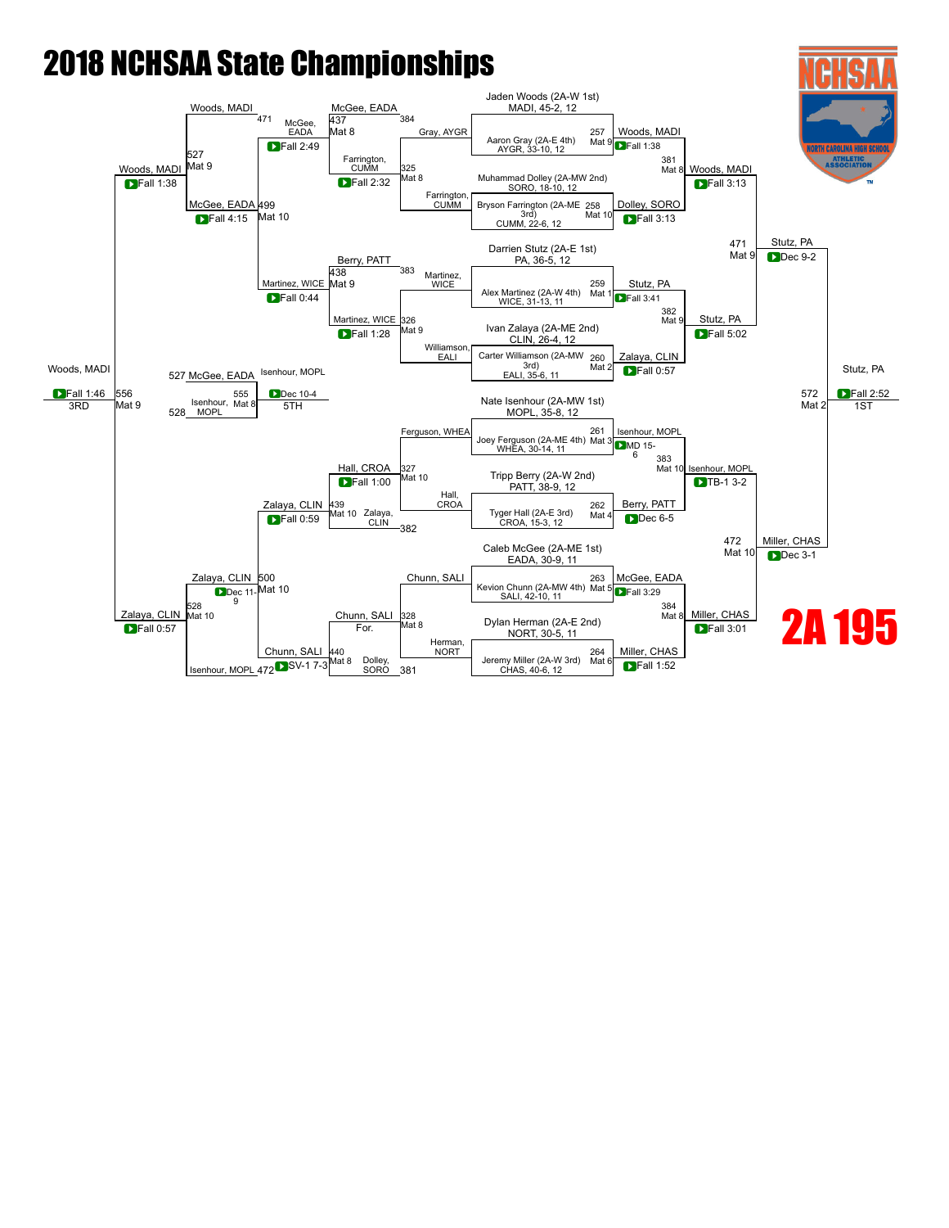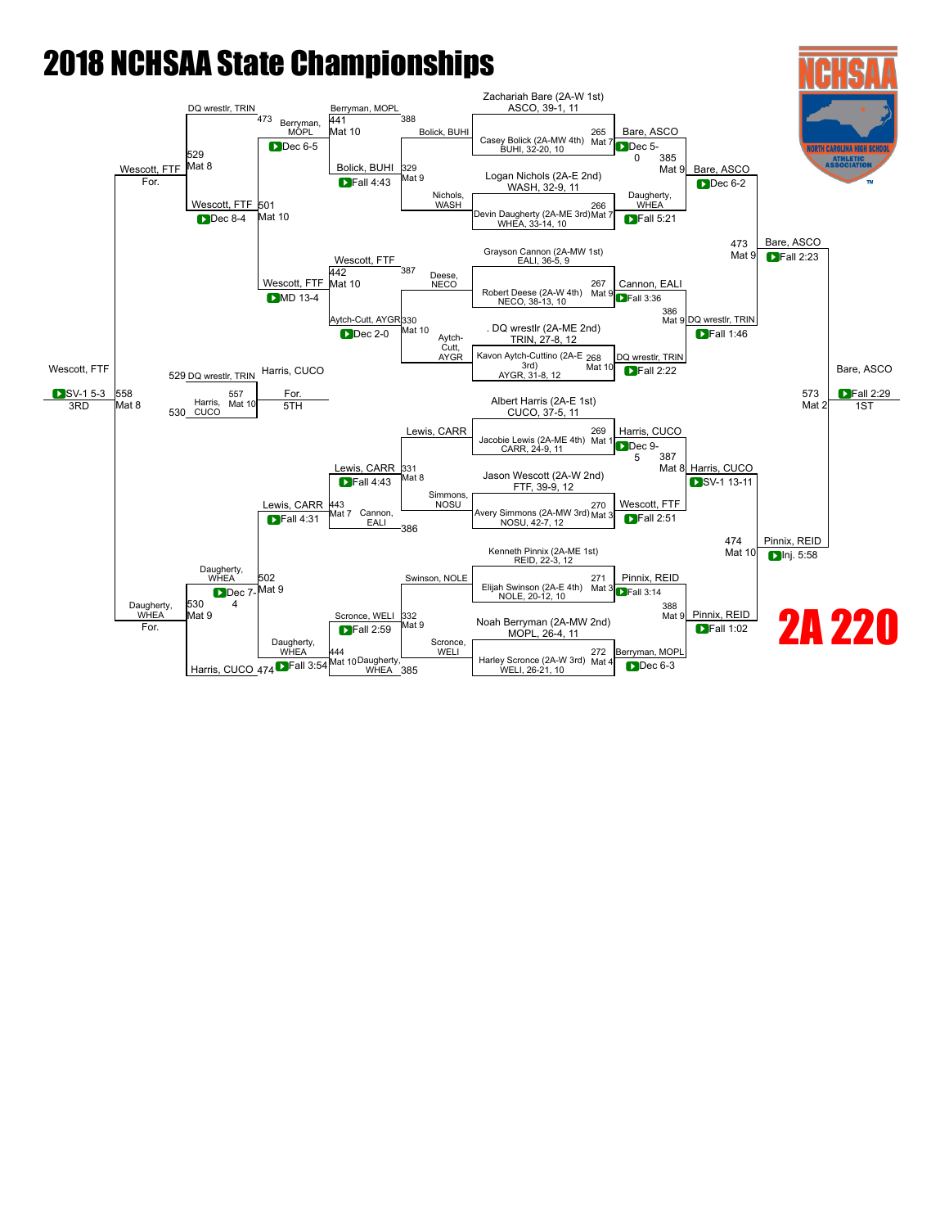